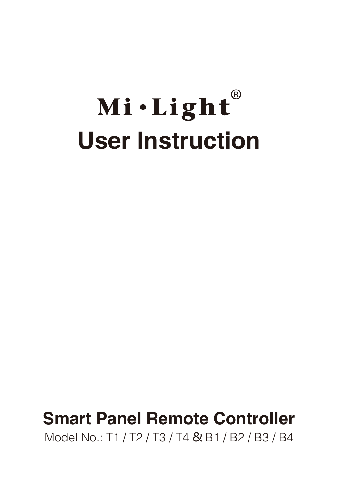# Mi·Light® **User Instruction**

### **Smart Panel Remote Controller**

Model No.: T1 / T2 / T3 / T4 & B1 / B2 / B3 / B4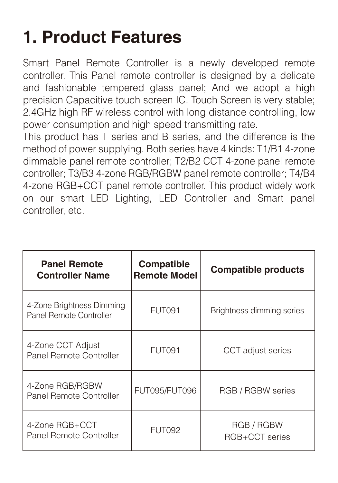# **1. Product Features**

Smart Panel Remote Controller is a newly developed remote controller. This Panel remote controller is designed by a delicate and fashionable tempered glass panel; And we adopt a high precision Capacitive touch screen IC. Touch Screen is very stable; 2.4GHz high RF wireless control with long distance controlling, low power consumption and high speed transmitting rate.

This product has T series and B series, and the difference is the method of power supplying. Both series have 4 kinds: T1/B1 4-zone dimmable panel remote controller; T2/B2 CCT 4-zone panel remote controller; T3/B3 4-zone RGB/RGBW panel remote controller; T4/B4 4-zone RGB+CCT panel remote controller. This product widely work on our smart LED Lighting, LED Controller and Smart panel controller, etc.

| <b>Panel Remote</b><br><b>Controller Name</b>        | Compatible<br><b>Remote Model</b> | Compatible products          |
|------------------------------------------------------|-----------------------------------|------------------------------|
| 4-Zone Brightness Dimming<br>Panel Remote Controller | FUT091                            | Brightness dimming series    |
| 4-Zone CCT Adjust<br>Panel Remote Controller         | FUT091                            | CCT adjust series            |
| 4-Zone RGB/RGBW<br>Panel Remote Controller           | FUT095/FUT096                     | RGB / RGBW series            |
| 4-Zone RGB+CCT<br>Panel Remote Controller            | FUT092                            | RGB / RGBW<br>RGB+CCT series |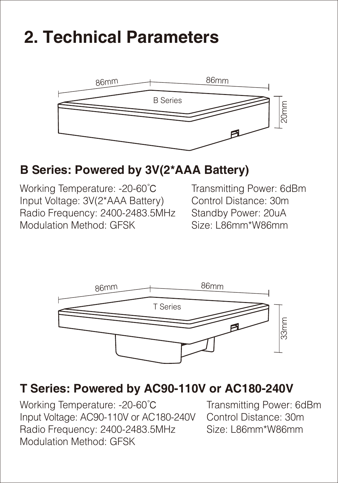## **2. Technical Parameters**



#### **B Series: Powered by 3V(2\*AAA Battery)**

Working Temperature: -20-60℃ Input Voltage: 3V(2\*AAA Battery) Radio Frequency: 2400-2483.5MHz Modulation Method: GFSK

Transmitting Power: 6dBm Control Distance: 30m Standby Power: 20uA<br>Size: L86mm\*W86mm



#### **T Series: Powered by AC90-110V or AC180-240V**

Working Temperature: -20-60℃ Input Voltage: AC90-110V or AC180-240V Radio Frequency: 2400-2483.5MHz Modulation Method: GFSK

Transmitting Power: 6dBm Control Distance: 30m Size: L86mm\*W86mm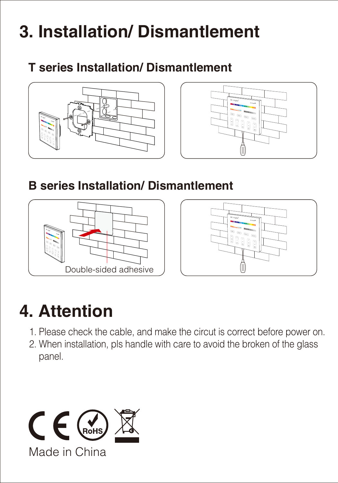# **3. Installation/ Dismantlement**

**T series Installation/ Dismantlement**





**B series Installation/ Dismantlement**





# **4. Attention**

- 1. Please check the cable, and make the circut is correct before power on.
- 2. When installation, pls handle with care to avoid the broken of the glass panel.

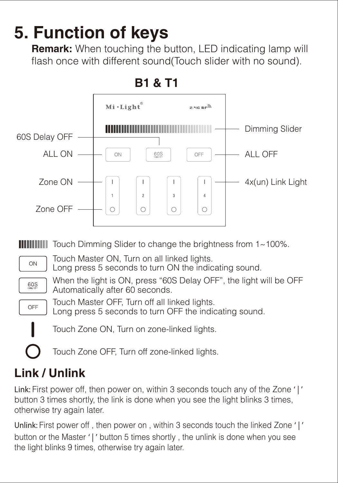## **5. Function of keys**

**Remark:** When touching the button, LED indicating lamp will flash once with different sound(Touch slider with no sound).



### **Link / Unlink**

**Link:** First power off, then power on, within 3 seconds touch any of the Zone **' | '** button 3 times shortly, the link is done when you see the light blinks 3 times, otherwise try again later.

**Unlink:** First power off , then power on , within 3 seconds touch the linked Zone **' | '** button or the Master **' | '** button 5 times shortly , the unlink is done when you see the light blinks 9 times, otherwise try again later.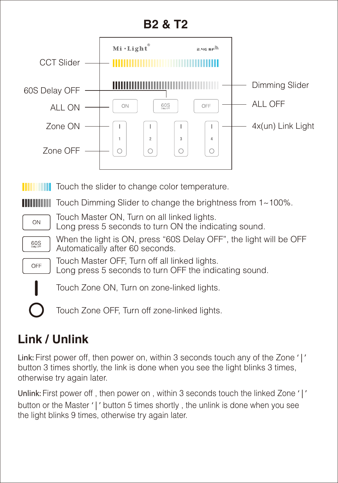#### **B2 & T2**



### **Link / Unlink**

**Link:** First power off, then power on, within 3 seconds touch any of the Zone **' | '** button 3 times shortly, the link is done when you see the light blinks 3 times, otherwise try again later.

**Unlink:** First power off , then power on , within 3 seconds touch the linked Zone **' | '** button or the Master **' | '** button 5 times shortly , the unlink is done when you see the light blinks 9 times, otherwise try again later.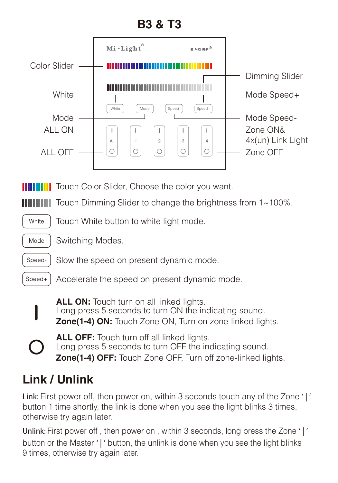

Speed-Slow the speed on present dynamic mode.

Speed+ Accelerate the speed on present dynamic mode.

**Zone(1-4) ON:** Touch Zone ON, Turn on zone-linked lights. ALL ON: Touch turn on all linked lights. Long press 5 seconds to turn ON the indicating sound.

**Zone(1-4) OFF:** Touch Zone OFF, Turn off zone-linked lights. **ALL OFF:** Touch turn off all linked lights. Long press 5 seconds to turn OFF the indicating sound.

### **Link / Unlink**

**Link:** First power off, then power on, within 3 seconds touch any of the Zone **' | '** button 1 time shortly, the link is done when you see the light blinks 3 times, otherwise try again later.

**Unlink:** First power off , then power on , within 3 seconds, long press the Zone **' | '** button or the Master **' | '** button, the unlink is done when you see the light blinks 9 times, otherwise try again later.